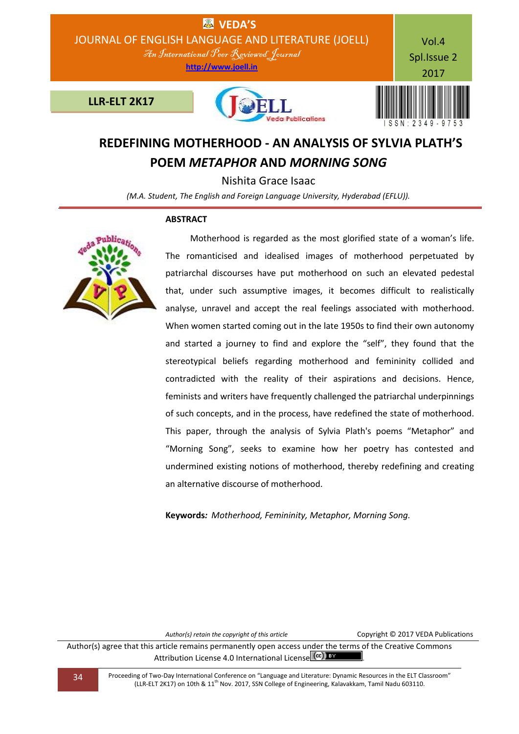

## **REDEFINING MOTHERHOOD - AN ANALYSIS OF SYLVIA PLATH'S POEM** *METAPHOR* **AND** *MORNING SONG*

Nishita Grace Isaac

*(M.A. Student, The English and Foreign Language University, Hyderabad (EFLU)).*

## **ABSTRACT**



Motherhood is regarded as the most glorified state of a woman's life. The romanticised and idealised images of motherhood perpetuated by patriarchal discourses have put motherhood on such an elevated pedestal that, under such assumptive images, it becomes difficult to realistically analyse, unravel and accept the real feelings associated with motherhood. When women started coming out in the late 1950s to find their own autonomy and started a journey to find and explore the "self", they found that the stereotypical beliefs regarding motherhood and femininity collided and contradicted with the reality of their aspirations and decisions. Hence, feminists and writers have frequently challenged the patriarchal underpinnings of such concepts, and in the process, have redefined the state of motherhood. This paper, through the analysis of Sylvia Plath's poems "Metaphor" and "Morning Song", seeks to examine how her poetry has contested and undermined existing notions of motherhood, thereby redefining and creating an alternative discourse of motherhood.

**Keywords***: Motherhood, Femininity, Metaphor, Morning Song.*

Author(s) retain the copyright of this article **Copyright © 2017 VEDA Publications** 

Author(s) agree that this article remains permanently open access under the terms of the Creative Commons Attribution License 4.0 International License (cc) BY

34 Proceeding of Two-Day International Conference on "Language and Literature: Dynamic Resources in the ELT Classroom" (LLR-ELT 2K17) on 10th & 11th Nov. 2017, SSN College of Engineering, Kalavakkam, Tamil Nadu 603110.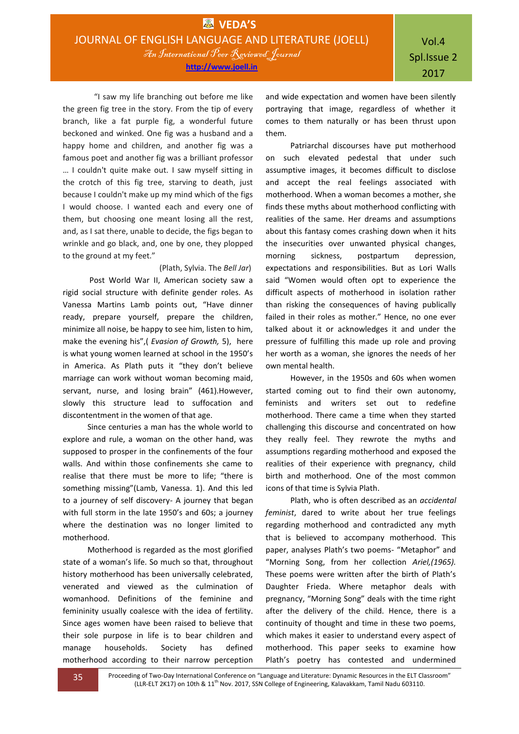"I saw my life branching out before me like the green fig tree in the story. From the tip of every branch, like a fat purple fig, a wonderful future beckoned and winked. One fig was a husband and a happy home and children, and another fig was a famous poet and another fig was a brilliant professor … I couldn't quite make out. I saw myself sitting in the crotch of this fig tree, starving to death, just because I couldn't make up my mind which of the figs I would choose. I wanted each and every one of them, but choosing one meant losing all the rest, and, as I sat there, unable to decide, the figs began to wrinkle and go black, and, one by one, they plopped to the ground at my feet."

## (Plath, Sylvia. The *Bell Jar*)

Post World War II, American society saw a rigid social structure with definite gender roles. As Vanessa Martins Lamb points out, "Have dinner ready, prepare yourself, prepare the children, minimize all noise, be happy to see him, listen to him, make the evening his",( *Evasion of Growth,* 5), here is what young women learned at school in the 1950's in America. As Plath puts it "they don't believe marriage can work without woman becoming maid, servant, nurse, and losing brain" (461).However, slowly this structure lead to suffocation and discontentment in the women of that age.

Since centuries a man has the whole world to explore and rule, a woman on the other hand, was supposed to prosper in the confinements of the four walls. And within those confinements she came to realise that there must be more to life; "there is something missing"(Lamb, Vanessa. 1). And this led to a journey of self discovery- A journey that began with full storm in the late 1950's and 60s; a journey where the destination was no longer limited to motherhood.

Motherhood is regarded as the most glorified state of a woman's life. So much so that, throughout history motherhood has been universally celebrated, venerated and viewed as the culmination of womanhood. Definitions of the feminine and femininity usually coalesce with the idea of fertility. Since ages women have been raised to believe that their sole purpose in life is to bear children and manage households. Society has defined motherhood according to their narrow perception

and wide expectation and women have been silently portraying that image, regardless of whether it comes to them naturally or has been thrust upon them.

Patriarchal discourses have put motherhood on such elevated pedestal that under such assumptive images, it becomes difficult to disclose and accept the real feelings associated with motherhood. When a woman becomes a mother, she finds these myths about motherhood conflicting with realities of the same. Her dreams and assumptions about this fantasy comes crashing down when it hits the insecurities over unwanted physical changes, morning sickness, postpartum depression, expectations and responsibilities. But as Lori Walls said "Women would often opt to experience the difficult aspects of motherhood in isolation rather than risking the consequences of having publically failed in their roles as mother." Hence, no one ever talked about it or acknowledges it and under the pressure of fulfilling this made up role and proving her worth as a woman, she ignores the needs of her own mental health.

However, in the 1950s and 60s when women started coming out to find their own autonomy, feminists and writers set out to redefine motherhood. There came a time when they started challenging this discourse and concentrated on how they really feel. They rewrote the myths and assumptions regarding motherhood and exposed the realities of their experience with pregnancy, child birth and motherhood. One of the most common icons of that time is Sylvia Plath.

Plath, who is often described as an *accidental feminist*, dared to write about her true feelings regarding motherhood and contradicted any myth that is believed to accompany motherhood. This paper, analyses Plath's two poems- "Metaphor" and "Morning Song, from her collection *Ariel,(1965).*  These poems were written after the birth of Plath's Daughter Frieda. Where metaphor deals with pregnancy, "Morning Song" deals with the time right after the delivery of the child. Hence, there is a continuity of thought and time in these two poems, which makes it easier to understand every aspect of motherhood. This paper seeks to examine how Plath's poetry has contested and undermined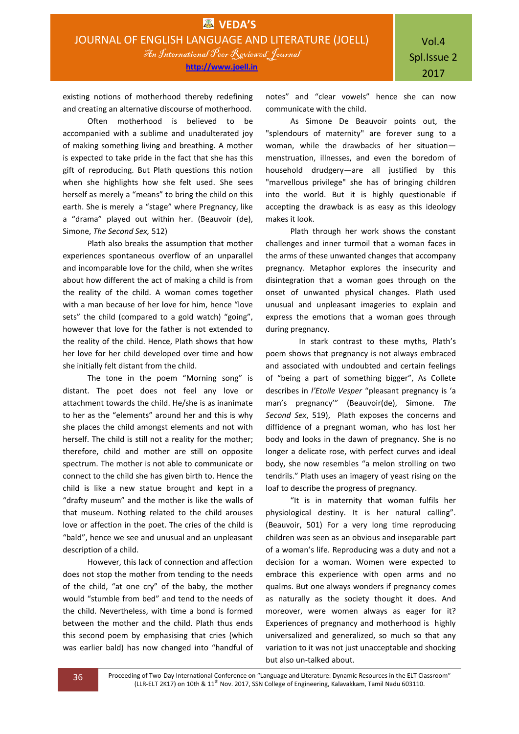existing notions of motherhood thereby redefining and creating an alternative discourse of motherhood.

Often motherhood is believed to be accompanied with a sublime and unadulterated joy of making something living and breathing. A mother is expected to take pride in the fact that she has this gift of reproducing. But Plath questions this notion when she highlights how she felt used. She sees herself as merely a "means" to bring the child on this earth. She is merely a "stage" where Pregnancy, like a "drama" played out within her. (Beauvoir (de), Simone, *The Second Sex,* 512)

Plath also breaks the assumption that mother experiences spontaneous overflow of an unparallel and incomparable love for the child, when she writes about how different the act of making a child is from the reality of the child. A woman comes together with a man because of her love for him, hence "love sets" the child (compared to a gold watch) "going", however that love for the father is not extended to the reality of the child. Hence, Plath shows that how her love for her child developed over time and how she initially felt distant from the child.

The tone in the poem "Morning song" is distant. The poet does not feel any love or attachment towards the child. He/she is as inanimate to her as the "elements" around her and this is why she places the child amongst elements and not with herself. The child is still not a reality for the mother; therefore, child and mother are still on opposite spectrum. The mother is not able to communicate or connect to the child she has given birth to. Hence the child is like a new statue brought and kept in a "drafty museum" and the mother is like the walls of that museum. Nothing related to the child arouses love or affection in the poet. The cries of the child is "bald", hence we see and unusual and an unpleasant description of a child.

However, this lack of connection and affection does not stop the mother from tending to the needs of the child, "at one cry" of the baby, the mother would "stumble from bed" and tend to the needs of the child. Nevertheless, with time a bond is formed between the mother and the child. Plath thus ends this second poem by emphasising that cries (which was earlier bald) has now changed into "handful of

notes" and "clear vowels" hence she can now communicate with the child.

As Simone De Beauvoir points out, the "splendours of maternity" are forever sung to a woman, while the drawbacks of her situation menstruation, illnesses, and even the boredom of household drudgery—are all justified by this "marvellous privilege" she has of bringing children into the world. But it is highly questionable if accepting the drawback is as easy as this ideology makes it look.

Plath through her work shows the constant challenges and inner turmoil that a woman faces in the arms of these unwanted changes that accompany pregnancy. Metaphor explores the insecurity and disintegration that a woman goes through on the onset of unwanted physical changes. Plath used unusual and unpleasant imageries to explain and express the emotions that a woman goes through during pregnancy.

In stark contrast to these myths, Plath's poem shows that pregnancy is not always embraced and associated with undoubted and certain feelings of "being a part of something bigger", As Collete describes in *l'Etoile Vesper* "pleasant pregnancy is 'a man's pregnancy'" (Beauvoir(de), Simone. *The Second Sex*, 519), Plath exposes the concerns and diffidence of a pregnant woman, who has lost her body and looks in the dawn of pregnancy. She is no longer a delicate rose, with perfect curves and ideal body, she now resembles "a melon strolling on two tendrils." Plath uses an imagery of yeast rising on the loaf to describe the progress of pregnancy.

"It is in maternity that woman fulfils her physiological destiny. It is her natural calling". (Beauvoir, 501) For a very long time reproducing children was seen as an obvious and inseparable part of a woman's life. Reproducing was a duty and not a decision for a woman. Women were expected to embrace this experience with open arms and no qualms. But one always wonders if pregnancy comes as naturally as the society thought it does. And moreover, were women always as eager for it? Experiences of pregnancy and motherhood is highly universalized and generalized, so much so that any variation to it was not just unacceptable and shocking but also un-talked about.

36 Proceeding of Two-Day International Conference on "Language and Literature: Dynamic Resources in the ELT Classroom" (LLR-ELT 2K17) on 10th & 11<sup>th</sup> Nov. 2017, SSN College of Engineering, Kalavakkam, Tamil Nadu 603110.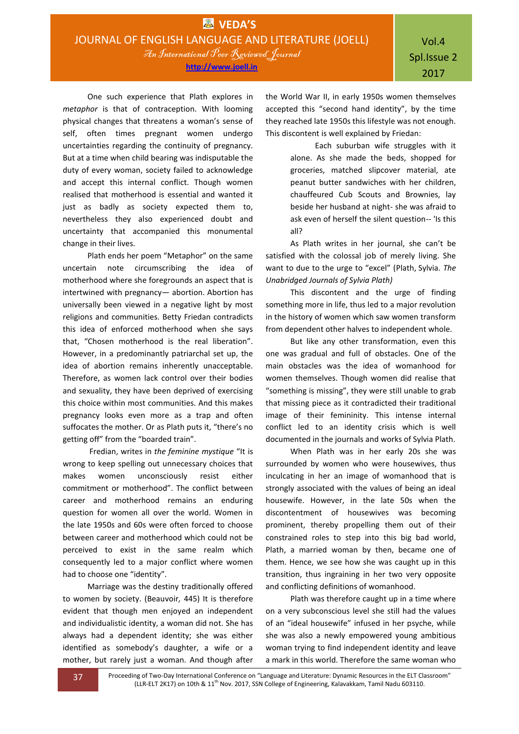One such experience that Plath explores in *metaphor* is that of contraception. With looming physical changes that threatens a woman's sense of self, often times pregnant women undergo uncertainties regarding the continuity of pregnancy. But at a time when child bearing was indisputable the duty of every woman, society failed to acknowledge and accept this internal conflict. Though women realised that motherhood is essential and wanted it just as badly as society expected them to, nevertheless they also experienced doubt and uncertainty that accompanied this monumental change in their lives.

Plath ends her poem "Metaphor" on the same uncertain note circumscribing the idea of motherhood where she foregrounds an aspect that is intertwined with pregnancy— abortion. Abortion has universally been viewed in a negative light by most religions and communities. Betty Friedan contradicts this idea of enforced motherhood when she says that, "Chosen motherhood is the real liberation". However, in a predominantly patriarchal set up, the idea of abortion remains inherently unacceptable. Therefore, as women lack control over their bodies and sexuality, they have been deprived of exercising this choice within most communities. And this makes pregnancy looks even more as a trap and often suffocates the mother. Or as Plath puts it, "there's no getting off" from the "boarded train".

Fredian, writes in *the feminine mystique* "It is wrong to keep spelling out unnecessary choices that makes women unconsciously resist either commitment or motherhood". The conflict between career and motherhood remains an enduring question for women all over the world. Women in the late 1950s and 60s were often forced to choose between career and motherhood which could not be perceived to exist in the same realm which consequently led to a major conflict where women had to choose one "identity".

Marriage was the destiny traditionally offered to women by society. (Beauvoir*,* 445) It is therefore evident that though men enjoyed an independent and individualistic identity, a woman did not. She has always had a dependent identity; she was either identified as somebody's daughter, a wife or a mother, but rarely just a woman. And though after the World War II, in early 1950s women themselves accepted this "second hand identity", by the time they reached late 1950s this lifestyle was not enough. This discontent is well explained by Friedan:

> Each suburban wife struggles with it alone. As she made the beds, shopped for groceries, matched slipcover material, ate peanut butter sandwiches with her children, chauffeured Cub Scouts and Brownies, lay beside her husband at night- she was afraid to ask even of herself the silent question-- 'Is this all?

As Plath writes in her journal, she can't be satisfied with the colossal job of merely living. She want to due to the urge to "excel" (Plath, Sylvia. *The Unabridged Journals of Sylvia Plath)*

This discontent and the urge of finding something more in life, thus led to a major revolution in the history of women which saw women transform from dependent other halves to independent whole.

But like any other transformation, even this one was gradual and full of obstacles. One of the main obstacles was the idea of womanhood for women themselves. Though women did realise that "something is missing", they were still unable to grab that missing piece as it contradicted their traditional image of their femininity. This intense internal conflict led to an identity crisis which is well documented in the journals and works of Sylvia Plath.

When Plath was in her early 20s she was surrounded by women who were housewives, thus inculcating in her an image of womanhood that is strongly associated with the values of being an ideal housewife. However, in the late 50s when the discontentment of housewives was becoming prominent, thereby propelling them out of their constrained roles to step into this big bad world, Plath, a married woman by then, became one of them. Hence, we see how she was caught up in this transition, thus ingraining in her two very opposite and conflicting definitions of womanhood.

Plath was therefore caught up in a time where on a very subconscious level she still had the values of an "ideal housewife" infused in her psyche, while she was also a newly empowered young ambitious woman trying to find independent identity and leave a mark in this world. Therefore the same woman who

**37** Proceeding of Two-Day International Conference on "Language and Literature: Dynamic Resources in the ELT Classroom" (LLR-ELT 2K17) on 10th & 11<sup>th</sup> Nov. 2017, SSN College of Engineering, Kalavakkam, Tamil Nadu 603110.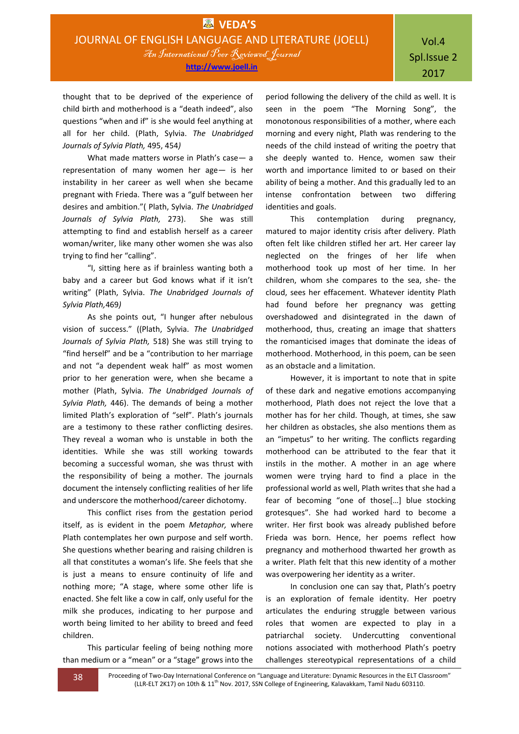thought that to be deprived of the experience of child birth and motherhood is a "death indeed", also questions "when and if" is she would feel anything at all for her child. (Plath, Sylvia. *The Unabridged Journals of Sylvia Plath,* 495, 454*)*

What made matters worse in Plath's case— a representation of many women her age— is her instability in her career as well when she became pregnant with Frieda. There was a "gulf between her desires and ambition."( Plath, Sylvia. *The Unabridged Journals of Sylvia Plath,* 273). She was still attempting to find and establish herself as a career woman/writer, like many other women she was also trying to find her "calling".

"I, sitting here as if brainless wanting both a baby and a career but God knows what if it isn't writing" (Plath, Sylvia. *The Unabridged Journals of Sylvia Plath,*469*)*

As she points out, "I hunger after nebulous vision of success." ((Plath, Sylvia. *The Unabridged Journals of Sylvia Plath,* 518) She was still trying to "find herself" and be a "contribution to her marriage and not "a dependent weak half" as most women prior to her generation were, when she became a mother (Plath, Sylvia. *The Unabridged Journals of Sylvia Plath,* 446). The demands of being a mother limited Plath's exploration of "self". Plath's journals are a testimony to these rather conflicting desires. They reveal a woman who is unstable in both the identities. While she was still working towards becoming a successful woman, she was thrust with the responsibility of being a mother. The journals document the intensely conflicting realities of her life and underscore the motherhood/career dichotomy.

This conflict rises from the gestation period itself, as is evident in the poem *Metaphor,* where Plath contemplates her own purpose and self worth. She questions whether bearing and raising children is all that constitutes a woman's life. She feels that she is just a means to ensure continuity of life and nothing more; "A stage, where some other life is enacted. She felt like a cow in calf, only useful for the milk she produces, indicating to her purpose and worth being limited to her ability to breed and feed children.

This particular feeling of being nothing more than medium or a "mean" or a "stage" grows into the

period following the delivery of the child as well. It is seen in the poem "The Morning Song", the monotonous responsibilities of a mother, where each morning and every night, Plath was rendering to the needs of the child instead of writing the poetry that she deeply wanted to. Hence, women saw their worth and importance limited to or based on their ability of being a mother. And this gradually led to an intense confrontation between two differing identities and goals.

This contemplation during pregnancy, matured to major identity crisis after delivery. Plath often felt like children stifled her art. Her career lay neglected on the fringes of her life when motherhood took up most of her time. In her children, whom she compares to the sea, she- the cloud, sees her effacement. Whatever identity Plath had found before her pregnancy was getting overshadowed and disintegrated in the dawn of motherhood, thus, creating an image that shatters the romanticised images that dominate the ideas of motherhood. Motherhood, in this poem, can be seen as an obstacle and a limitation.

However, it is important to note that in spite of these dark and negative emotions accompanying motherhood, Plath does not reject the love that a mother has for her child. Though, at times, she saw her children as obstacles, she also mentions them as an "impetus" to her writing. The conflicts regarding motherhood can be attributed to the fear that it instils in the mother. A mother in an age where women were trying hard to find a place in the professional world as well, Plath writes that she had a fear of becoming "one of those[...] blue stocking grotesques". She had worked hard to become a writer. Her first book was already published before Frieda was born. Hence, her poems reflect how pregnancy and motherhood thwarted her growth as a writer. Plath felt that this new identity of a mother was overpowering her identity as a writer.

In conclusion one can say that, Plath's poetry is an exploration of female identity. Her poetry articulates the enduring struggle between various roles that women are expected to play in a patriarchal society. Undercutting conventional notions associated with motherhood Plath's poetry challenges stereotypical representations of a child